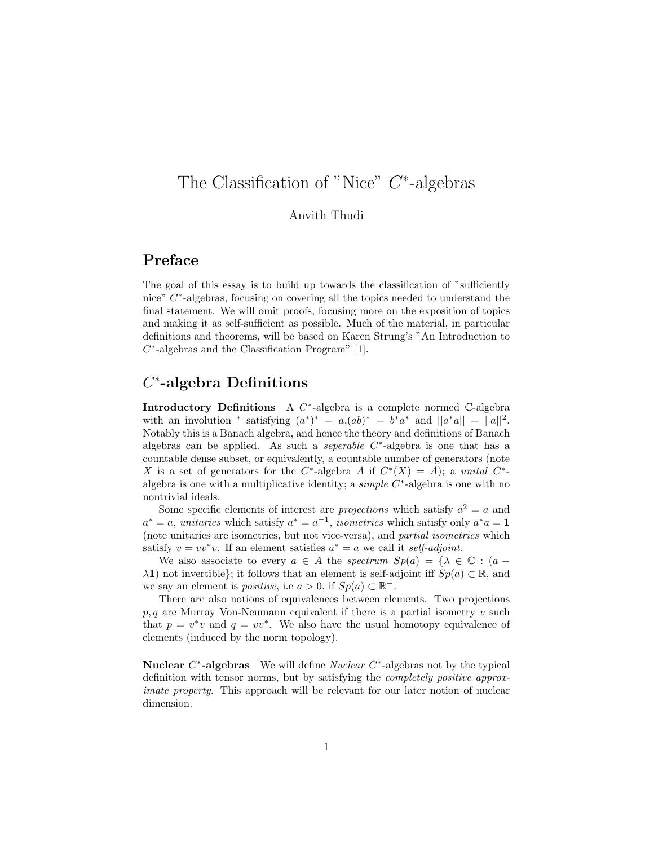# The Classification of "Nice"  $C^*$ -algebras

#### Anvith Thudi

## Preface

The goal of this essay is to build up towards the classification of "sufficiently nice" C<sup>\*</sup>-algebras, focusing on covering all the topics needed to understand the final statement. We will omit proofs, focusing more on the exposition of topics and making it as self-sufficient as possible. Much of the material, in particular definitions and theorems, will be based on Karen Strung's "An Introduction to  $C^*$ -algebras and the Classification Program" [1].

## $C^*$ -algebra Definitions

Introductory Definitions A  $C^*$ -algebra is a complete normed  $\mathbb{C}$ -algebra with an involution \* satisfying  $(a^*)^* = a,(ab)^* = b^*a^*$  and  $||a^*a|| = ||a||^2$ . Notably this is a Banach algebra, and hence the theory and definitions of Banach algebras can be applied. As such a *seperable C*<sup>\*</sup>-algebra is one that has a countable dense subset, or equivalently, a countable number of generators (note X is a set of generators for the C<sup>\*</sup>-algebra A if  $C^*(X) = A$ ; a unital C<sup>\*</sup>algebra is one with a multiplicative identity; a  $simple \ C^*$ -algebra is one with no nontrivial ideals.

Some specific elements of interest are *projections* which satisfy  $a^2 = a$  and  $a^* = a$ , unitaries which satisfy  $a^* = a^{-1}$ , isometries which satisfy only  $a^*a = 1$ (note unitaries are isometries, but not vice-versa), and partial isometries which satisfy  $v = vv^*v$ . If an element satisfies  $a^* = a$  we call it self-adjoint.

We also associate to every  $a \in A$  the spectrum  $Sp(a) = {\lambda \in \mathbb{C} : (a - a)$  $λ$ 1) not invertible}; it follows that an element is self-adjoint iff  $Sp(a) \subset \mathbb{R}$ , and we say an element is *positive*, i.e  $a > 0$ , if  $Sp(a) \subset \mathbb{R}^+$ .

There are also notions of equivalences between elements. Two projections  $p, q$  are Murray Von-Neumann equivalent if there is a partial isometry  $v$  such that  $p = v^*v$  and  $q = vv^*$ . We also have the usual homotopy equivalence of elements (induced by the norm topology).

**Nuclear C\*-algebras** We will define *Nuclear*  $C^*$ -algebras not by the typical definition with tensor norms, but by satisfying the completely positive approximate property. This approach will be relevant for our later notion of nuclear dimension.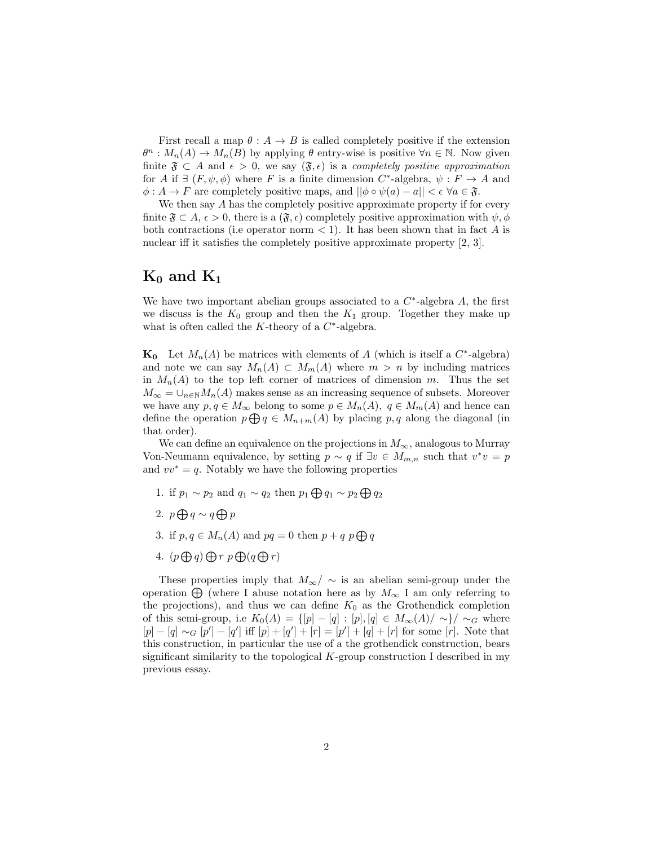First recall a map  $\theta : A \to B$  is called completely positive if the extension  $\theta^n : M_n(A) \to M_n(B)$  by applying  $\theta$  entry-wise is positive  $\forall n \in \mathbb{N}$ . Now given finite  $\mathfrak{F} \subset A$  and  $\epsilon > 0$ , we say  $(\mathfrak{F}, \epsilon)$  is a completely positive approximation for A if  $\exists$   $(F, \psi, \phi)$  where F is a finite dimension  $C^*$ -algebra,  $\psi : F \to A$  and  $\phi: A \to F$  are completely positive maps, and  $||\phi \circ \psi(a) - a|| < \epsilon \; \forall a \in \mathfrak{F}$ .

We then say A has the completely positive approximate property if for every finite  $\mathfrak{F} \subset A$ ,  $\epsilon > 0$ , there is a  $(\mathfrak{F}, \epsilon)$  completely positive approximation with  $\psi, \phi$ both contractions (i.e operator norm  $\lt 1$ ). It has been shown that in fact A is nuclear iff it satisfies the completely positive approximate property [2, 3].

#### $K_0$  and  $K_1$

We have two important abelian groups associated to a  $C^*$ -algebra  $A$ , the first we discuss is the  $K_0$  group and then the  $K_1$  group. Together they make up what is often called the  $K$ -theory of a  $C^*$ -algebra.

**K<sub>0</sub>** Let  $M_n(A)$  be matrices with elements of A (which is itself a  $C^*$ -algebra) and note we can say  $M_n(A) \subset M_m(A)$  where  $m > n$  by including matrices in  $M_n(A)$  to the top left corner of matrices of dimension m. Thus the set  $M_{\infty} = \cup_{n \in \mathbb{N}} M_n(A)$  makes sense as an increasing sequence of subsets. Moreover we have any  $p, q \in M_\infty$  belong to some  $p \in M_n(A)$ ,  $q \in M_m(A)$  and hence can define the operation  $p \bigoplus q \in M_{n+m}(A)$  by placing p, q along the diagonal (in that order).

We can define an equivalence on the projections in  $M_{\infty}$ , analogous to Murray Von-Neumann equivalence, by setting  $p \sim q$  if  $\exists v \in M_{m,n}$  such that  $v^*v = p$ and  $vv^* = q$ . Notably we have the following properties

- 1. if  $p_1 \sim p_2$  and  $q_1 \sim q_2$  then  $p_1 \bigoplus q_1 \sim p_2 \bigoplus q_2$
- 2.  $p \bigoplus q \sim q \bigoplus p$
- 3. if  $p, q \in M_n(A)$  and  $pq = 0$  then  $p + q \cdot p \bigoplus q$
- 4.  $(p \bigoplus q) \bigoplus r \ p \bigoplus (q \bigoplus r)$

These properties imply that  $M_{\infty}/\sim$  is an abelian semi-group under the operation  $\bigoplus$  (where I abuse notation here as by  $M_{\infty}$  I am only referring to the projections), and thus we can define  $K_0$  as the Grothendick completion of this semi-group, i.e  $K_0(A) = \{ [p] - [q] : [p], [q] \in M_\infty(A) / \sim \} / \sim_G$  where  $[p] - [q] \sim_G [p'] - [q']$  iff  $[p] + [q'] + [r] = [p'] + [q] + [r]$  for some  $[r]$ . Note that this construction, in particular the use of a the grothendick construction, bears significant similarity to the topological  $K$ -group construction I described in my previous essay.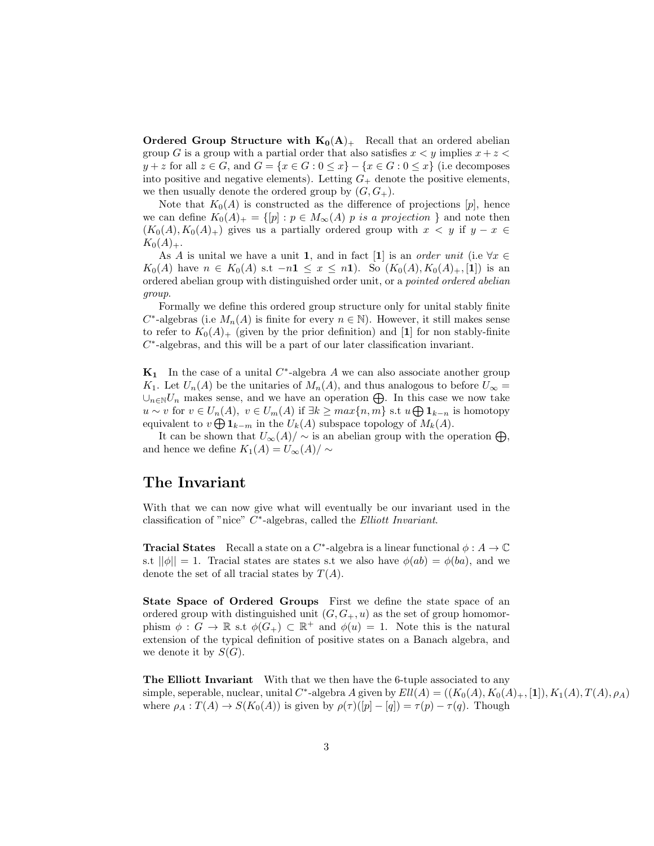**Ordered Group Structure with**  $K_0(A)_+$  Recall that an ordered abelian group G is a group with a partial order that also satisfies  $x < y$  implies  $x + z <$  $y + z$  for all  $z \in G$ , and  $G = \{x \in G : 0 \leq x\} - \{x \in G : 0 \leq x\}$  (i.e decomposes into positive and negative elements). Letting  $G_{+}$  denote the positive elements, we then usually denote the ordered group by  $(G, G_+).$ 

Note that  $K_0(A)$  is constructed as the difference of projections  $[p]$ , hence we can define  $K_0(A)_+ = \{ [p] : p \in M_\infty(A) \text{ is a projection } \}$  and note then  $(K_0(A), K_0(A)_+)$  gives us a partially ordered group with  $x < y$  if  $y - x \in$  $K_0(A)_+.$ 

As A is unital we have a unit 1, and in fact [1] is an *order unit* (i.e  $\forall x \in$  $K_0(A)$  have  $n \in K_0(A)$  s.t  $-n1 \leq x \leq n1$ ). So  $(K_0(A), K_0(A)_+, [1])$  is an ordered abelian group with distinguished order unit, or a pointed ordered abelian group.

Formally we define this ordered group structure only for unital stably finite  $C^*$ -algebras (i.e  $M_n(A)$  is finite for every  $n \in \mathbb{N}$ ). However, it still makes sense to refer to  $K_0(A)_+$  (given by the prior definition) and [1] for non stably-finite  $C^*$ -algebras, and this will be a part of our later classification invariant.

 $\mathbf{K}_1$  In the case of a unital  $C^*$ -algebra A we can also associate another group  $K_1$ . Let  $U_n(A)$  be the unitaries of  $M_n(A)$ , and thus analogous to before  $U_{\infty} =$ ∪<sub>n∈N</sub>U<sub>n</sub> makes sense, and we have an operation  $\bigoplus$ . In this case we now take  $u \sim v$  for  $v \in U_n(A)$ ,  $v \in U_m(A)$  if  $\exists k \geq max\{n,m\}$  s.t  $u \bigoplus 1_{k-n}$  is homotopy equivalent to  $v \bigoplus 1_{k-m}$  in the  $U_k(A)$  subspace topology of  $M_k(A)$ .

It can be shown that  $U_{\infty}(A)/\sim$  is an abelian group with the operation  $\bigoplus$ , and hence we define  $K_1(A) = U_{\infty}(A)/\sim$ 

#### The Invariant

With that we can now give what will eventually be our invariant used in the classification of "nice"  $C^*$ -algebras, called the *Elliott Invariant*.

**Tracial States** Recall a state on a C<sup>\*</sup>-algebra is a linear functional  $\phi : A \to \mathbb{C}$ s.t  $||\phi|| = 1$ . Tracial states are states s.t we also have  $\phi(ab) = \phi(ba)$ , and we denote the set of all tracial states by  $T(A)$ .

State Space of Ordered Groups First we define the state space of an ordered group with distinguished unit  $(G, G_+, u)$  as the set of group homomorphism  $\phi: G \to \mathbb{R}$  s.t  $\phi(G_+) \subset \mathbb{R}^+$  and  $\phi(u) = 1$ . Note this is the natural extension of the typical definition of positive states on a Banach algebra, and we denote it by  $S(G)$ .

The Elliott Invariant With that we then have the 6-tuple associated to any simple, seperable, nuclear, unital  $C^*$ -algebra A given by  $Ell(A) = ((K_0(A), K_0(A)_+, [1]), K_1(A), T(A), \rho_A)$ where  $\rho_A: T(A) \to S(K_0(A))$  is given by  $\rho(\tau)(p]-[q]) = \tau(p)-\tau(q)$ . Though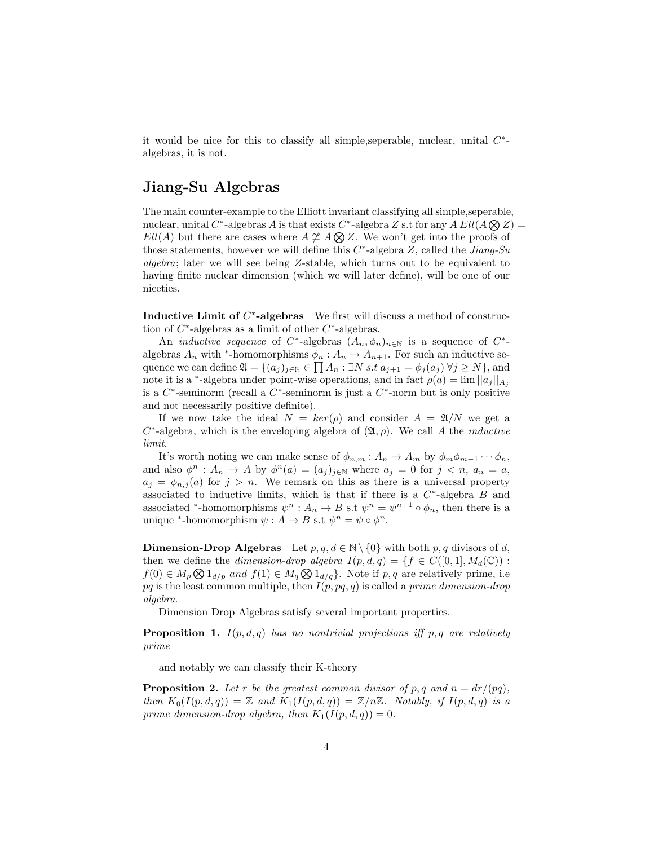it would be nice for this to classify all simple, seperable, nuclear, unital  $C^*$ algebras, it is not.

#### Jiang-Su Algebras

The main counter-example to the Elliott invariant classifying all simple,seperable, nuclear, unital C<sup>\*</sup>-algebras A is that exists C<sup>\*</sup>-algebra Z s.t for any  $A \, Ell(A \bigotimes Z) =$  $Ell(A)$  but there are cases where  $A \not\cong A \bigotimes Z$ . We won't get into the proofs of those statements, however we will define this  $C^*$ -algebra  $Z$ , called the *Jiang-Su* algebra; later we will see being Z-stable, which turns out to be equivalent to having finite nuclear dimension (which we will later define), will be one of our niceties.

Inductive Limit of  $C^*$ -algebras We first will discuss a method of construction of  $C^*$ -algebras as a limit of other  $C^*$ -algebras.

An *inductive sequence* of  $C^*$ -algebras  $(A_n, \phi_n)_{n \in \mathbb{N}}$  is a sequence of  $C^*$ algebras  $A_n$  with <sup>\*</sup>-homomorphisms  $\phi_n : A_n \to A_{n+1}$ . For such an inductive sequence we can define  $\mathfrak{A} = \{(a_j)_{j \in \mathbb{N}} \in \prod A_n : \exists N \ s.t \ a_{j+1} = \phi_j(a_j) \ \forall j \ge N\}$ , and note it is a <sup>\*</sup>-algebra under point-wise operations, and in fact  $\rho(a) = \lim ||a_j||_{A_j}$ is a  $C^*$ -seminorm (recall a  $C^*$ -seminorm is just a  $C^*$ -norm but is only positive and not necessarily positive definite).

If we now take the ideal  $N = \text{ker}(\rho)$  and consider  $A = \overline{\mathfrak{A}/N}$  we get a  $C^*$ -algebra, which is the enveloping algebra of  $(\mathfrak{A}, \rho)$ . We call A the *inductive* limit.

It's worth noting we can make sense of  $\phi_{n,m}: A_n \to A_m$  by  $\phi_m \phi_{m-1} \cdots \phi_n$ , and also  $\phi^n : A_n \to A$  by  $\phi^n(a) = (a_j)_{j \in \mathbb{N}}$  where  $a_j = 0$  for  $j < n$ ,  $a_n = a$ ,  $a_j = \phi_{n,j}(a)$  for  $j > n$ . We remark on this as there is a universal property associated to inductive limits, which is that if there is a  $C^*$ -algebra  $B$  and associated \*-homomorphisms  $\psi^n : A_n \to B$  s.t  $\psi^n = \psi^{n+1} \circ \phi_n$ , then there is a unique \*-homomorphism  $\psi : A \to B$  s.t  $\psi^n = \psi \circ \phi^n$ .

**Dimension-Drop Algebras** Let  $p, q, d \in \mathbb{N} \setminus \{0\}$  with both p, q divisors of d, then we define the *dimension-drop algebra*  $I(p,d,q) = \{f \in C([0,1], M_d(\mathbb{C}))$ :  $f(0) \in M_p \otimes 1_{d/p}$  and  $f(1) \in M_q \otimes 1_{d/q}$ . Note if p, q are relatively prime, i.e  $pq$  is the least common multiple, then  $I(p, pq, q)$  is called a prime dimension-drop algebra.

Dimension Drop Algebras satisfy several important properties.

**Proposition 1.**  $I(p,d,q)$  has no nontrivial projections iff p, q are relatively prime

and notably we can classify their K-theory

**Proposition 2.** Let r be the greatest common divisor of p, q and  $n = dr/(pq)$ , then  $K_0(I(p,d,q)) = \mathbb{Z}$  and  $K_1(I(p,d,q)) = \mathbb{Z}/n\mathbb{Z}$ . Notably, if  $I(p,d,q)$  is a prime dimension-drop algebra, then  $K_1(I(p,d,q)) = 0$ .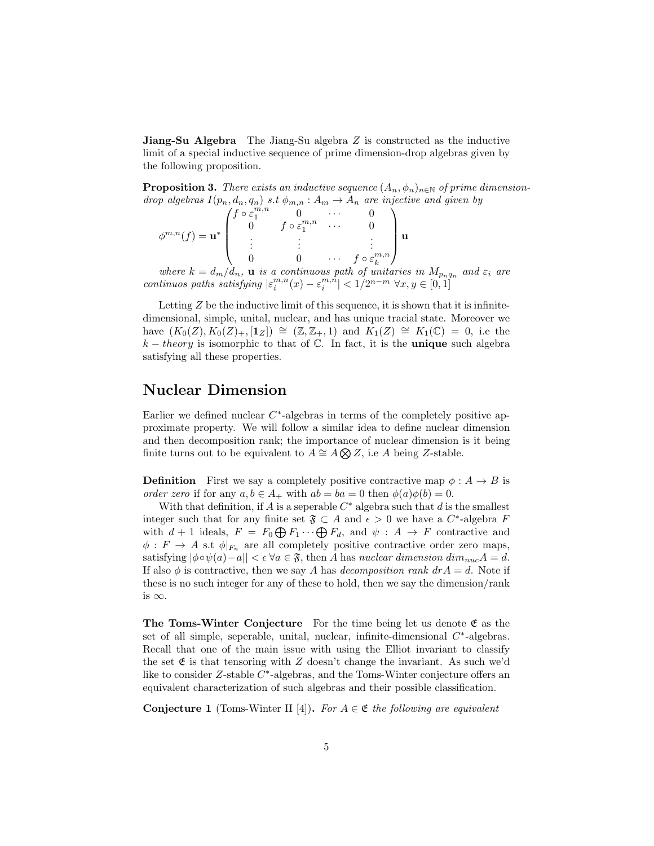**Jiang-Su Algebra** The Jiang-Su algebra  $Z$  is constructed as the inductive limit of a special inductive sequence of prime dimension-drop algebras given by the following proposition.

**Proposition 3.** There exists an inductive sequence  $(A_n, \phi_n)_{n \in \mathbb{N}}$  of prime dimensiondrop algebras  $I(p_n, d_n, q_n)$  s.t  $\phi_{m,n}: A_m \to A_n$  are injective and given by

| --                                                          |                             |                               |          |                                    |  |
|-------------------------------------------------------------|-----------------------------|-------------------------------|----------|------------------------------------|--|
| $\mathbb{A}^{m,n}$ (f)<br>$\mathbf{u} = \mathbf{u}^{* - 1}$ | $f \circ \varepsilon^{m,n}$ |                               | $\cdots$ |                                    |  |
|                                                             |                             | $f \circ \varepsilon_1^{m,n}$ | $\cdots$ |                                    |  |
|                                                             |                             |                               |          |                                    |  |
|                                                             |                             |                               | $\cdots$ | , $\circ \varepsilon_k^{m,n}$<br>J |  |

where  $k = d_m/d_n$ , **u** is a continuous path of unitaries in  $M_{p_nq_n}$  and  $\varepsilon_i$  are continuos paths satisfying  $|\varepsilon_i^{m,n}(x)-\varepsilon_i^{m,n}|<1/2^{n-m}$   $\forall x,y\in[0,1]$ 

Letting  $Z$  be the inductive limit of this sequence, it is shown that it is infinitedimensional, simple, unital, nuclear, and has unique tracial state. Moreover we have  $(K_0(Z), K_0(Z)_+, [\mathbf{1}_Z]) \cong (\mathbb{Z}, \mathbb{Z}_+, 1)$  and  $K_1(Z) \cong K_1(\mathbb{C}) = 0$ , i.e the  $k - theory$  is isomorphic to that of  $\mathbb{C}$ . In fact, it is the **unique** such algebra satisfying all these properties.

#### Nuclear Dimension

Earlier we defined nuclear  $C^*$ -algebras in terms of the completely positive approximate property. We will follow a similar idea to define nuclear dimension and then decomposition rank; the importance of nuclear dimension is it being finite turns out to be equivalent to  $A \cong A \otimes Z$ , i.e A being Z-stable.

**Definition** First we say a completely positive contractive map  $\phi : A \rightarrow B$  is order zero if for any  $a, b \in A_+$  with  $ab = ba = 0$  then  $\phi(a)\phi(b) = 0$ .

With that definition, if  $A$  is a seperable  $C^*$  algebra such that  $d$  is the smallest integer such that for any finite set  $\mathfrak{F} \subset A$  and  $\epsilon > 0$  we have a  $C^*$ -algebra F with  $d + 1$  ideals,  $F = F_0 \bigoplus F_1 \cdots \bigoplus F_d$ , and  $\psi : A \to F$  contractive and  $\phi: F \to A$  s.t  $\phi|_{F_n}$  are all completely positive contractive order zero maps, satisfying  $|\phi \circ \psi(a) - a| < \epsilon \; \forall a \in \mathfrak{F}$ , then A has nuclear dimension  $\dim_{nuc} A = d$ . If also  $\phi$  is contractive, then we say A has decomposition rank  $drA = d$ . Note if these is no such integer for any of these to hold, then we say the dimension/rank is  $\infty$ .

The Toms-Winter Conjecture For the time being let us denote  $\mathfrak{E}$  as the set of all simple, seperable, unital, nuclear, infinite-dimensional  $C^*$ -algebras. Recall that one of the main issue with using the Elliot invariant to classify the set  $\mathfrak E$  is that tensoring with Z doesn't change the invariant. As such we'd like to consider Z-stable C<sup>\*</sup>-algebras, and the Toms-Winter conjecture offers an equivalent characterization of such algebras and their possible classification.

**Conjecture 1** (Toms-Winter II [4]). For  $A \in \mathfrak{E}$  the following are equivalent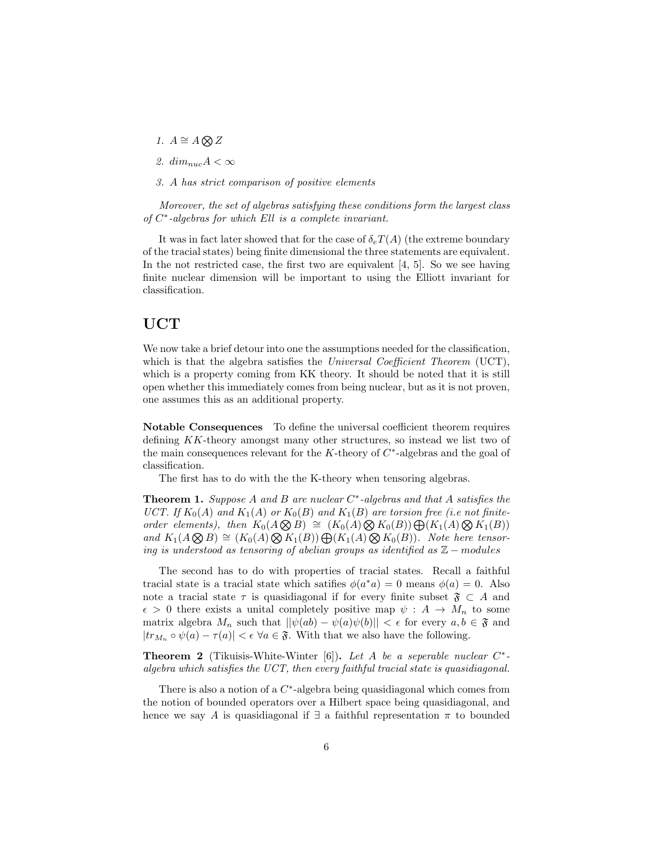- 1.  $A \cong A \bigotimes Z$
- 2.  $dim_{nuc} A < \infty$
- 3. A has strict comparison of positive elements

Moreover, the set of algebras satisfying these conditions form the largest class of C ∗ -algebras for which Ell is a complete invariant.

It was in fact later showed that for the case of  $\delta_c T(A)$  (the extreme boundary of the tracial states) being finite dimensional the three statements are equivalent. In the not restricted case, the first two are equivalent [4, 5]. So we see having finite nuclear dimension will be important to using the Elliott invariant for classification.

#### UCT

We now take a brief detour into one the assumptions needed for the classification, which is that the algebra satisfies the Universal Coefficient Theorem (UCT), which is a property coming from KK theory. It should be noted that it is still open whether this immediately comes from being nuclear, but as it is not proven, one assumes this as an additional property.

Notable Consequences To define the universal coefficient theorem requires defining KK-theory amongst many other structures, so instead we list two of the main consequences relevant for the  $K$ -theory of  $C^*$ -algebras and the goal of classification.

The first has to do with the the K-theory when tensoring algebras.

**Theorem 1.** Suppose A and B are nuclear  $C^*$ -algebras and that A satisfies the UCT. If  $K_0(A)$  and  $K_1(A)$  or  $K_0(B)$  and  $K_1(B)$  are torsion free (i.e not finiteorder elements), then  $K_0(A \otimes B) \cong (K_0(A) \otimes K_0(B)) \bigoplus (K_1(A) \otimes K_1(B))$ and  $K_1(A \otimes B) \cong (K_0(A) \otimes K_1(B)) \oplus (K_1(A) \otimes K_0(B))$ . Note here tensoring is understood as tensoring of abelian groups as identified as  $\mathbb{Z}$  – modules

The second has to do with properties of tracial states. Recall a faithful tracial state is a tracial state which satifies  $\phi(a^*a) = 0$  means  $\phi(a) = 0$ . Also note a tracial state  $\tau$  is quasidiagonal if for every finite subset  $\mathfrak{F} \subset A$  and  $\epsilon > 0$  there exists a unital completely positive map  $\psi : A \to M_n$  to some matrix algebra  $M_n$  such that  $||\psi(ab) - \psi(a)\psi(b)|| < \epsilon$  for every  $a, b \in \mathfrak{F}$  and  $|tr_{M_n} \circ \psi(a) - \tau(a)| < \epsilon \; \forall a \in \mathfrak{F}$ . With that we also have the following.

**Theorem 2** (Tikuisis-White-Winter [6]). Let A be a seperable nuclear  $C^*$ algebra which satisfies the UCT, then every faithful tracial state is quasidiagonal.

There is also a notion of a  $C^*$ -algebra being quasidiagonal which comes from the notion of bounded operators over a Hilbert space being quasidiagonal, and hence we say A is quasidiagonal if  $\exists$  a faithful representation  $\pi$  to bounded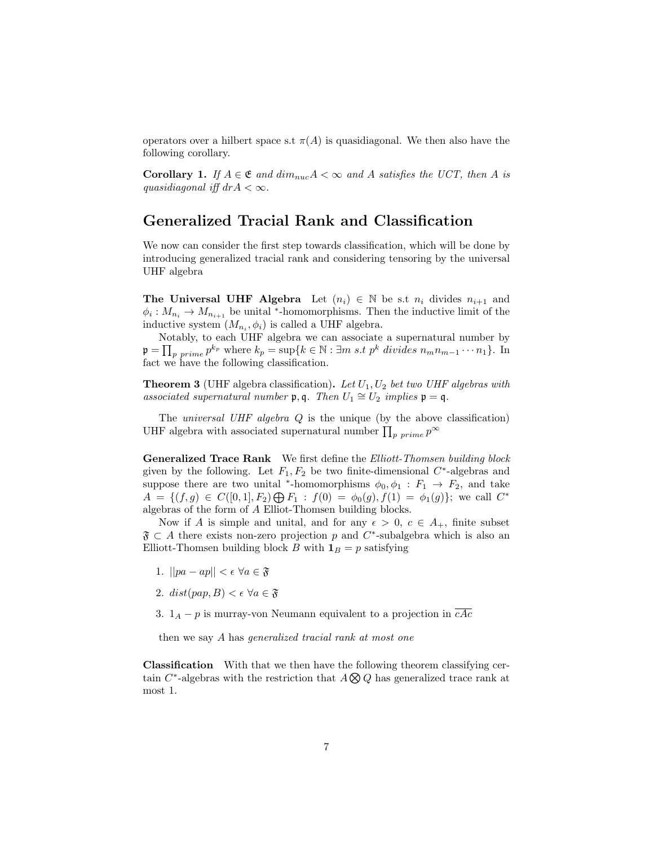operators over a hilbert space s.t  $\pi(A)$  is quasidiagonal. We then also have the following corollary.

**Corollary 1.** If  $A \in \mathfrak{E}$  and  $dim_{nuc} A < \infty$  and A satisfies the UCT, then A is quasidiagonal iff  $drA < \infty$ .

#### Generalized Tracial Rank and Classification

We now can consider the first step towards classification, which will be done by introducing generalized tracial rank and considering tensoring by the universal UHF algebra

**The Universal UHF Algebra** Let  $(n_i) \in \mathbb{N}$  be s.t  $n_i$  divides  $n_{i+1}$  and  $\phi_i: M_{n_i} \to M_{n_{i+1}}$  be unital <sup>\*</sup>-homomorphisms. Then the inductive limit of the inductive system  $(M_{n_i}, \phi_i)$  is called a UHF algebra.

Notably, to each UHF algebra we can associate a supernatural number by  $\mathfrak{p} = \prod_{p \ prime} p^{k_p}$  where  $k_p = \sup\{k \in \mathbb{N} : \exists m \ s.t \ p^k \ divides \ n_m n_{m-1} \cdots n_1\}.$  In fact we have the following classification.

**Theorem 3** (UHF algebra classification). Let  $U_1, U_2$  bet two UHF algebras with associated supernatural number  $\mathfrak{p}, \mathfrak{q}$ . Then  $U_1 \cong U_2$  implies  $\mathfrak{p} = \mathfrak{q}$ .

The *universal UHF algebra*  $Q$  is the unique (by the above classification) UHF algebra with associated supernatural number  $\prod_{p \ prime} p^{\infty}$ 

Generalized Trace Rank We first define the Elliott-Thomsen building block given by the following. Let  $F_1, F_2$  be two finite-dimensional  $C^*$ -algebras and suppose there are two unital <sup>\*</sup>-homomorphisms  $\phi_0, \phi_1 : F_1 \to F_2$ , and take  $A = \{ (f,g) \in C([0,1], F_2) \bigoplus F_1 : f(0) = \phi_0(g), f(1) = \phi_1(g) \};$  we call  $C^*$ algebras of the form of A Elliot-Thomsen building blocks.

Now if A is simple and unital, and for any  $\epsilon > 0$ ,  $c \in A_+$ , finite subset  $\mathfrak{F} \subset A$  there exists non-zero projection p and C<sup>\*</sup>-subalgebra which is also an Elliott-Thomsen building block B with  $\mathbf{1}_B = p$  satisfying

- 1.  $||pa ap|| < \epsilon \ \forall a \in \mathfrak{F}$
- 2.  $dist(pap, B) < \epsilon \ \forall a \in \mathfrak{F}$
- 3.  $1_A p$  is murray-von Neumann equivalent to a projection in  $\overline{cAc}$

then we say A has generalized tracial rank at most one

Classification With that we then have the following theorem classifying certain C<sup>\*</sup>-algebras with the restriction that  $A \bigotimes Q$  has generalized trace rank at most 1.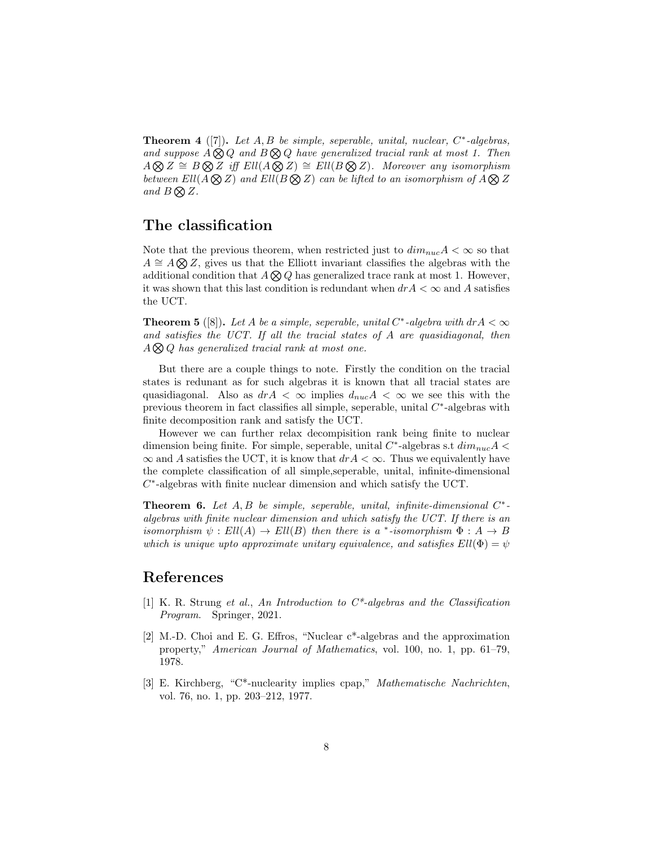**Theorem 4** ([7]). Let  $A, B$  be simple, seperable, unital, nuclear,  $C^*$ -algebras, and suppose  $A \otimes Q$  and  $B \otimes Q$  have generalized tracial rank at most 1. Then  $A \otimes Z \cong B \otimes Z$  iff  $Ell(A \otimes Z) \cong Ell(B \otimes Z)$ . Moreover any isomorphism between  $Ell(A \otimes Z)$  and  $Ell(B \otimes Z)$  can be lifted to an isomorphism of  $A \otimes Z$ and  $B \bigotimes Z$ .

### The classification

Note that the previous theorem, when restricted just to  $dim_{nuc}A < \infty$  so that  $A \cong A \otimes Z$ , gives us that the Elliott invariant classifies the algebras with the additional condition that  $A \bigotimes Q$  has generalized trace rank at most 1. However, it was shown that this last condition is redundant when  $drA < \infty$  and A satisfies the UCT.

**Theorem 5** ([8]). Let A be a simple, seperable, unital  $C^*$ -algebra with  $drA < \infty$ and satisfies the UCT. If all the tracial states of A are quasidiagonal, then  $A \bigotimes Q$  has generalized tracial rank at most one.

But there are a couple things to note. Firstly the condition on the tracial states is redunant as for such algebras it is known that all tracial states are quasidiagonal. Also as  $drA < \infty$  implies  $d_{nuc}A < \infty$  we see this with the previous theorem in fact classifies all simple, seperable, unital  $C^*$ -algebras with finite decomposition rank and satisfy the UCT.

However we can further relax decompisition rank being finite to nuclear dimension being finite. For simple, seperable, unital  $C^*$ -algebras s.t  $dim_{nuc} A$  <  $\infty$  and A satisfies the UCT, it is know that  $drA < \infty$ . Thus we equivalently have the complete classification of all simple,seperable, unital, infinite-dimensional  $C^*$ -algebras with finite nuclear dimension and which satisfy the UCT.

**Theorem 6.** Let  $A, B$  be simple, seperable, unital, infinite-dimensional  $C^*$ algebras with finite nuclear dimension and which satisfy the UCT. If there is an isomorphism  $\psi: Ell(A) \to Ell(B)$  then there is a \*-isomorphism  $\Phi: A \to B$ which is unique upto approximate unitary equivalence, and satisfies  $Ell(\Phi) = \psi$ 

#### References

- [1] K. R. Strung et al., An Introduction to C\*-algebras and the Classification Program. Springer, 2021.
- [2] M.-D. Choi and E. G. Effros, "Nuclear c\*-algebras and the approximation property," American Journal of Mathematics, vol. 100, no. 1, pp. 61–79, 1978.
- [3] E. Kirchberg, "C\*-nuclearity implies cpap," Mathematische Nachrichten, vol. 76, no. 1, pp. 203–212, 1977.